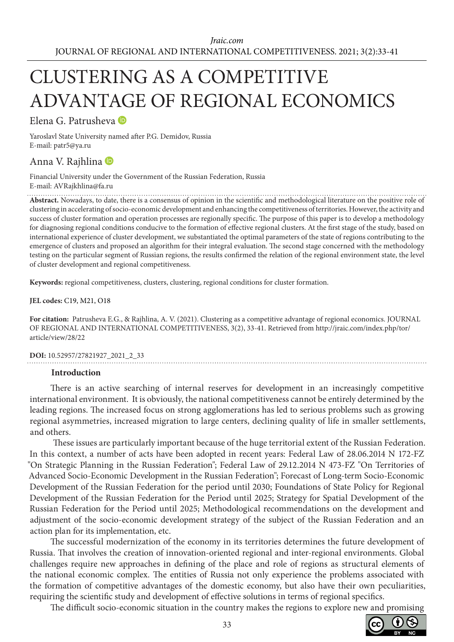# CLUSTERING AS A COMPETITIVE ADVANTAGE OF REGIONAL ECONOMICS

Elena G. Patrusheva

Yaroslavl State University named after P.G. Demidov, Russia E-mail: patr5@ya.ru

# Anna V. Rajhlina

Financial University under the Government of the Russian Federation, Russia E-mail: AVRajkhlina@fa.ru

**Abstract.** Nowadays, to date, there is a consensus of opinion in the scientific and methodological literature on the positive role of clustering in accelerating of socio-economic development and enhancing the competitiveness of territories. However, the activity and success of cluster formation and operation processes are regionally specific. The purpose of this paper is to develop a methodology for diagnosing regional conditions conducive to the formation of effective regional clusters. At the first stage of the study, based on international experience of cluster development, we substantiated the optimal parameters of the state of regions contributing to the emergence of clusters and proposed an algorithm for their integral evaluation. The second stage concerned with the methodology testing on the particular segment of Russian regions, the results confirmed the relation of the regional environment state, the level of cluster development and regional competitiveness.

**Keywords:** regional competitiveness, clusters, clustering, regional conditions for cluster formation.

**JEL codes:** C19, M21, O18

**For citation:** Patrusheva E.G., & Rajhlina, A. V. (2021). Clustering as a competitive advantage of regional economics. JOURNAL OF REGIONAL AND INTERNATIONAL COMPETITIVENESS, 3(2), 33-41. Retrieved from http://jraic.com/index.php/tor/ article/view/28/22

# **DOI:** 10.52957/27821927\_2021\_2\_33

#### **Introduction**

There is an active searching of internal reserves for development in an increasingly competitive international environment. It is obviously, the national competitiveness cannot be entirely determined by the leading regions. The increased focus on strong agglomerations has led to serious problems such as growing regional asymmetries, increased migration to large centers, declining quality of life in smaller settlements, and others.

 These issues are particularly important because of the huge territorial extent of the Russian Federation. In this context, a number of acts have been adopted in recent years: Federal Law of 28.06.2014 N 172-FZ "On Strategic Planning in the Russian Federation"; Federal Law of 29.12.2014 N 473-FZ "On Territories of Advanced Socio-Economic Development in the Russian Federation"; Forecast of Long-term Socio-Economic Development of the Russian Federation for the period until 2030; Foundations of State Policy for Regional Development of the Russian Federation for the Period until 2025; Strategy for Spatial Development of the Russian Federation for the Period until 2025; Methodological recommendations on the development and adjustment of the socio-economic development strategy of the subject of the Russian Federation and an action plan for its implementation, etc.

The successful modernization of the economy in its territories determines the future development of Russia. That involves the creation of innovation-oriented regional and inter-regional environments. Global challenges require new approaches in defining of the place and role of regions as structural elements of the national economic complex. The entities of Russia not only experience the problems associated with the formation of competitive advantages of the domestic economy, but also have their own peculiarities, requiring the scientific study and development of effective solutions in terms of regional specifics.

The difficult socio-economic situation in the country makes the regions to explore new and promising

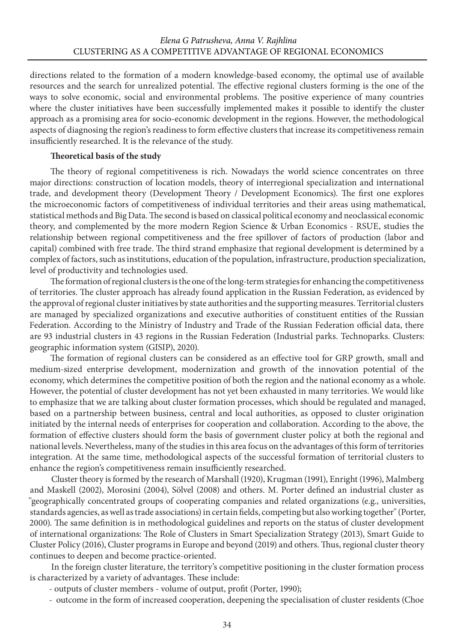directions related to the formation of a modern knowledge-based economy, the optimal use of available resources and the search for unrealized potential. The effective regional clusters forming is the one of the ways to solve economic, social and environmental problems. The positive experience of many countries where the cluster initiatives have been successfully implemented makes it possible to identify the cluster approach as a promising area for socio-economic development in the regions. However, the methodological aspects of diagnosing the region's readiness to form effective clusters that increase its competitiveness remain insufficiently researched. It is the relevance of the study.

#### **Theoretical basis of the study**

The theory of regional competitiveness is rich. Nowadays the world science concentrates on three major directions: construction of location models, theory of interregional specialization and international trade, and development theory (Development Theory / Development Economics). The first one explores the microeconomic factors of competitiveness of individual territories and their areas using mathematical, statistical methods and Big Data. The second is based on classical political economy and neoclassical economic theory, and complemented by the more modern Region Science & Urban Economics - RSUE, studies the relationship between regional competitiveness and the free spillover of factors of production (labor and capital) combined with free trade. The third strand emphasize that regional development is determined by a complex of factors, such as institutions, education of the population, infrastructure, production specialization, level of productivity and technologies used.

The formation of regional clusters is the one of the long-term strategies for enhancing the competitiveness of territories. The cluster approach has already found application in the Russian Federation, as evidenced by the approval of regional cluster initiatives by state authorities and the supporting measures. Territorial clusters are managed by specialized organizations and executive authorities of constituent entities of the Russian Federation. According to the Ministry of Industry and Trade of the Russian Federation official data, there are 93 industrial clusters in 43 regions in the Russian Federation (Industrial parks. Technoparks. Clusters: geographic information system (GISIP), 2020).

The formation of regional clusters can be considered as an effective tool for GRP growth, small and medium-sized enterprise development, modernization and growth of the innovation potential of the economy, which determines the competitive position of both the region and the national economy as a whole. However, the potential of cluster development has not yet been exhausted in many territories. We would like to emphasize that we are talking about cluster formation processes, which should be regulated and managed, based on a partnership between business, central and local authorities, as opposed to cluster origination initiated by the internal needs of enterprises for cooperation and collaboration. According to the above, the formation of effective clusters should form the basis of government cluster policy at both the regional and national levels. Nevertheless, many of the studies in this area focus on the advantages of this form of territories integration. At the same time, methodological aspects of the successful formation of territorial clusters to enhance the region's competitiveness remain insufficiently researched.

Cluster theory is formed by the research of Marshall (1920), Krugman (1991), Enright (1996), Malmberg and Maskell (2002), Morosini (2004), Sölvel (2008) and others. М. Porter defined an industrial cluster as ''geographically concentrated groups of cooperating companies and related organizations (e.g., universities, standards agencies, as well as trade associations) in certain fields, competing but also working together'' (Porter, 2000). The same definition is in methodological guidelines and reports on the status of cluster development of international organizations: The Role of Clusters in Smart Specialization Strategy (2013), Smart Guide to Cluster Policy (2016), Cluster programs in Europe and beyond (2019) and others. Thus, regional cluster theory continues to deepen and become practice-oriented.

In the foreign cluster literature, the territory's competitive positioning in the cluster formation process is characterized by a variety of advantages. These include:

- outputs of cluster members volume of output, profit (Porter, 1990);
- outcome in the form of increased cooperation, deepening the specialisation of cluster residents (Choe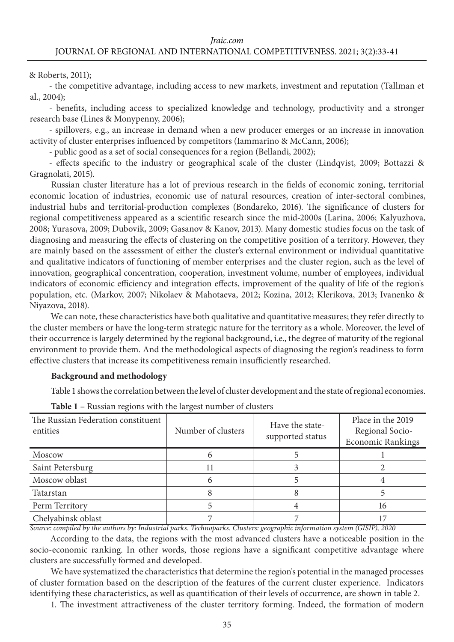## & Roberts, 2011);

- the competitive advantage, including access to new markets, investment and reputation (Tallman et al., 2004);

- benefits, including access to specialized knowledge and technology, productivity and a stronger research base (Lines & Monypenny, 2006);

- spillovers, e.g., an increase in demand when a new producer emerges or an increase in innovation activity of cluster enterprises influenced by competitors (Iammarino & McCann, 2006);

- public good as a set of social consequences for a region (Bellandi, 2002);

- effects specific to the industry or geographical scale of the cluster (Lindqvist, 2009; Bottazzi & Gragnolati, 2015).

Russian cluster literature has a lot of previous research in the fields of economic zoning, territorial economic location of industries, economic use of natural resources, creation of inter-sectoral combines, industrial hubs and territorial-production complexes (Bondareko, 2016). The significance of clusters for regional competitiveness appeared as a scientific research since the mid-2000s (Larinа, 2006; Kalyuzhova, 2008; Yurasova, 2009; Dubovik, 2009; Gasanov & Kanov, 2013). Many domestic studies focus on the task of diagnosing and measuring the effects of clustering on the competitive position of a territory. However, they are mainly based on the assessment of either the cluster's external environment or individual quantitative and qualitative indicators of functioning of member enterprises and the cluster region, such as the level of innovation, geographical concentration, cooperation, investment volume, number of employees, individual indicators of economic efficiency and integration effects, improvement of the quality of life of the region's population, etc. (Markov, 2007; Nikolaev & Mahotaeva, 2012; Kozina, 2012; Klerikova, 2013; Ivanenko & Niyazova, 2018).

We can note, these characteristics have both qualitative and quantitative measures; they refer directly to the cluster members or have the long-term strategic nature for the territory as a whole. Moreover, the level of their occurrence is largely determined by the regional background, i.e., the degree of maturity of the regional environment to provide them. And the methodological aspects of diagnosing the region's readiness to form effective clusters that increase its competitiveness remain insufficiently researched.

## **Background and methodology**

Table 1 shows the correlation between the level of cluster development and the state of regional economies.

| The Russian Federation constituent<br>entities | Number of clusters | Have the state-<br>supported status | Place in the 2019<br>Regional Socio-<br><b>Economic Rankings</b> |
|------------------------------------------------|--------------------|-------------------------------------|------------------------------------------------------------------|
| Moscow                                         |                    |                                     |                                                                  |
| Saint Petersburg                               | 11                 |                                     |                                                                  |
| Moscow oblast                                  |                    |                                     |                                                                  |
| Tatarstan                                      |                    |                                     |                                                                  |
| Perm Territory                                 |                    |                                     | 16                                                               |
| Chelyabinsk oblast                             |                    |                                     |                                                                  |

| <b>Table 1</b> – Russian regions with the largest number of clusters |  |  |  |  |  |  |  |  |  |
|----------------------------------------------------------------------|--|--|--|--|--|--|--|--|--|
|----------------------------------------------------------------------|--|--|--|--|--|--|--|--|--|

*Source: compiled by the authors by: Industrial parks. Technoparks. Clusters: geographic information system (GISIP), 2020*

According to the data, the regions with the most advanced clusters have a noticeable position in the socio-economic ranking. In other words, those regions have a significant competitive advantage where clusters are successfully formed and developed.

We have systematized the characteristics that determine the region's potential in the managed processes of cluster formation based on the description of the features of the current cluster experience. Indicators identifying these characteristics, as well as quantification of their levels of occurrence, are shown in table 2.

1. The investment attractiveness of the cluster territory forming. Indeed, the formation of modern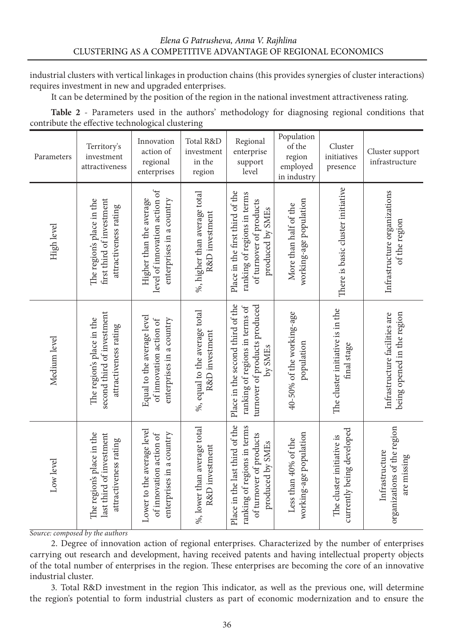industrial clusters with vertical linkages in production chains (this provides synergies of cluster interactions) requires investment in new and upgraded enterprises.

It can be determined by the position of the region in the national investment attractiveness rating.

**Table 2** - Parameters used in the authors' methodology for diagnosing regional conditions that contribute the effective technological clustering

| Parameters   | Territory's<br>investment<br>attractiveness                                      | Innovation<br>action of<br>regional<br>enterprises                                   | Total R&D<br>investment<br>in the<br>region     | Regional<br>enterprise<br>support<br>level                                                                     | Population<br>of the<br>region<br>employed<br>in industry | Cluster<br>initiatives<br>presence                     | Cluster support<br>infrastructure                            |
|--------------|----------------------------------------------------------------------------------|--------------------------------------------------------------------------------------|-------------------------------------------------|----------------------------------------------------------------------------------------------------------------|-----------------------------------------------------------|--------------------------------------------------------|--------------------------------------------------------------|
| High level   | The region's place in the<br>first third of investment<br>attractiveness rating  | level of innovation action of<br>Higher than the average<br>enterprises in a country | %, higher than average total<br>R&D investment  | Place in the first third of the<br>ranking of regions in terms<br>of turnover of products<br>produced by SMEs  | working-age population<br>More than half of the           | There is basic cluster initiative                      | Infrastructure organizations<br>of the region                |
| Medium level | second third of investment<br>The region's place in the<br>attractiveness rating | Equal to the average level<br>enterprises in a country<br>of innovation action of    | %, equal to the average total<br>R&D investment | Place in the second third of the<br>turnover of products produced<br>ranking of regions in terms of<br>by SMEs | 40-50% of the working-age<br>population                   | The cluster initiative is in the<br>final stage        | being opened in the region<br>Infrastructure facilities are  |
| Low level    | The region's place in the<br>last third of investment<br>attractiveness rating   | Lower to the average level<br>enterprises in a country<br>of innovation action of    | %, lower than average total<br>R&D investment   | Place in the last third of the<br>ranking of regions in terms<br>of turnover of products<br>produced by SMEs   | working-age population<br>Less than 40% of the            | currently being developed<br>The cluster initiative is | organizations of the region<br>Infrastructure<br>are missing |

*Source: composed by the authors*

2. Degree of innovation action of regional enterprises. Characterized by the number of enterprises carrying out research and development, having received patents and having intellectual property objects of the total number of enterprises in the region. These enterprises are becoming the core of an innovative industrial cluster.

3. Total R&D investment in the region This indicator, as well as the previous one, will determine the region's potential to form industrial clusters as part of economic modernization and to ensure the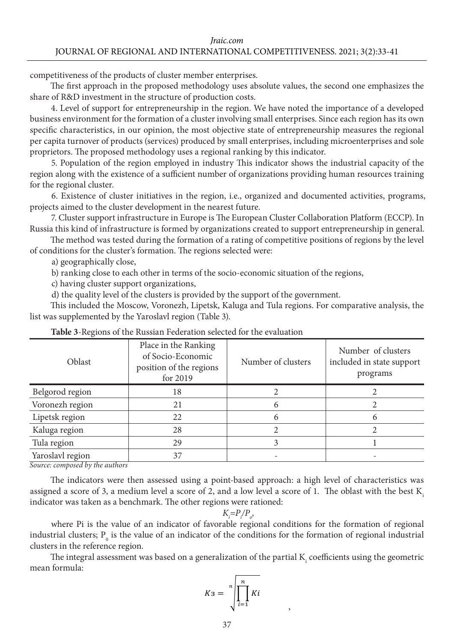competitiveness of the products of cluster member enterprises.

The first approach in the proposed methodology uses absolute values, the second one emphasizes the share of R&D investment in the structure of production costs.

4. Level of support for entrepreneurship in the region. We have noted the importance of a developed business environment for the formation of a cluster involving small enterprises. Since each region has its own specific characteristics, in our opinion, the most objective state of entrepreneurship measures the regional per capita turnover of products (services) produced by small enterprises, including microenterprises and sole proprietors. The proposed methodology uses a regional ranking by this indicator.

5. Population of the region employed in industry This indicator shows the industrial capacity of the region along with the existence of a sufficient number of organizations providing human resources training for the regional cluster.

6. Existence of cluster initiatives in the region, i.e., organized and documented activities, programs, projects aimed to the cluster development in the nearest future.

7. Cluster support infrastructure in Europe is The European Cluster Collaboration Platform (ECCP). In Russia this kind of infrastructure is formed by organizations created to support entrepreneurship in general.

The method was tested during the formation of a rating of competitive positions of regions by the level of conditions for the cluster's formation. The regions selected were:

a) geographically close,

b) ranking close to each other in terms of the socio-economic situation of the regions,

c) having cluster support organizations,

d) the quality level of the clusters is provided by the support of the government.

This included the Moscow, Voronezh, Lipetsk, Kaluga and Tula regions. For comparative analysis, the list was supplemented by the Yaroslavl region (Table 3).

| Oblast                                        | Place in the Ranking<br>of Socio-Economic<br>position of the regions<br>for 2019 | Number of clusters | Number of clusters<br>included in state support<br>programs |
|-----------------------------------------------|----------------------------------------------------------------------------------|--------------------|-------------------------------------------------------------|
| Belgorod region                               | 18                                                                               |                    |                                                             |
| Voronezh region                               | 21                                                                               | 6                  |                                                             |
| Lipetsk region                                | 22                                                                               | 6                  | h                                                           |
| Kaluga region                                 | 28                                                                               |                    |                                                             |
| Tula region                                   | 29                                                                               |                    |                                                             |
| Yaroslavl region<br>$\overline{\cdots}$<br>.1 | 37                                                                               |                    |                                                             |

*Source: composed by the authors*

The indicators were then assessed using a point-based approach: a high level of characteristics was assigned a score of 3, a medium level a score of 2, and a low level a score of 1. The oblast with the best  $K_i$ indicator was taken as a benchmark. The other regions were rationed:

$$
K_i = P_i / P_o
$$

where Pi is the value of an indicator of favorable regional conditions for the formation of regional industrial clusters;  $P_{0}$  is the value of an indicator of the conditions for the formation of regional industrial clusters in the reference region.

The integral assessment was based on a generalization of the partial  $\mathrm{K}_{\mathrm{i}}$  coefficients using the geometric mean formula:

$$
K3 = \sqrt[n]{\prod_{i=1}^{n} Ki}
$$

,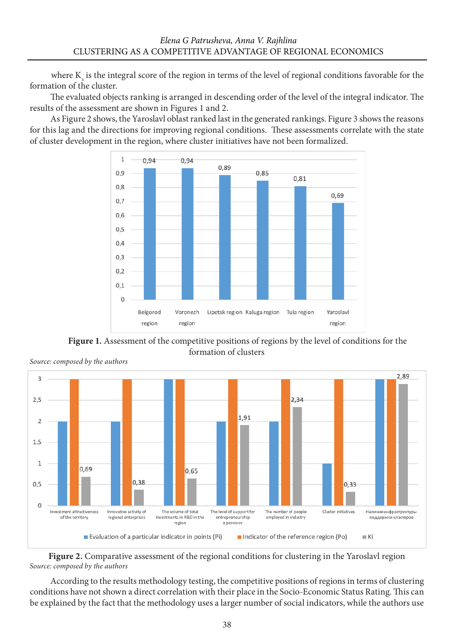where  $K_{\text{\tiny s}}$  is the integral score of the region in terms of the level of regional conditions favorable for the formation of the cluster.

The evaluated objects ranking is arranged in descending order of the level of the integral indicator. The results of the assessment are shown in Figures 1 and 2.

As Figure 2 shows, the Yaroslavl oblast ranked last in the generated rankings. Figure 3 shows the reasons for this lag and the directions for improving regional conditions. These assessments correlate with the state of cluster development in the region, where cluster initiatives have not been formalized.



Figure 1. Assessment of the competitive positions of regions by the level of conditions for the formation of clusters



*Source: composed by the authors*

**Figure 2.** Comparative assessment of the regional conditions for clustering in the Yaroslavl region *Source: composed by the authors*

According to the results methodology testing, the competitive positions of regions in terms of clustering conditions have not shown a direct correlation with their place in the Socio-Economic Status Rating. This can be explained by the fact that the methodology uses a larger number of social indicators, while the authors use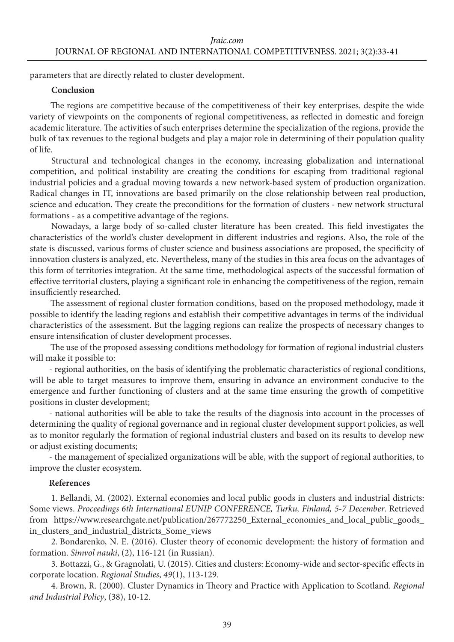parameters that are directly related to cluster development.

#### **Conclusion**

The regions are competitive because of the competitiveness of their key enterprises, despite the wide variety of viewpoints on the components of regional competitiveness, as reflected in domestic and foreign academic literature. The activities of such enterprises determine the specialization of the regions, provide the bulk of tax revenues to the regional budgets and play a major role in determining of their population quality of life.

Structural and technological changes in the economy, increasing globalization and international competition, and political instability are creating the conditions for escaping from traditional regional industrial policies and a gradual moving towards a new network-based system of production organization. Radical changes in IT, innovations are based primarily on the close relationship between real production, science and education. They create the preconditions for the formation of clusters - new network structural formations - as a competitive advantage of the regions.

Nowadays, a large body of so-called cluster literature has been created. This field investigates the characteristics of the world's cluster development in different industries and regions. Also, the role of the state is discussed, various forms of cluster science and business associations are proposed, the specificity of innovation clusters is analyzed, etc. Nevertheless, many of the studies in this area focus on the advantages of this form of territories integration. At the same time, methodological aspects of the successful formation of effective territorial clusters, playing a significant role in enhancing the competitiveness of the region, remain insufficiently researched.

The assessment of regional cluster formation conditions, based on the proposed methodology, made it possible to identify the leading regions and establish their competitive advantages in terms of the individual characteristics of the assessment. But the lagging regions can realize the prospects of necessary changes to ensure intensification of cluster development processes.

The use of the proposed assessing conditions methodology for formation of regional industrial clusters will make it possible to:

- regional authorities, on the basis of identifying the problematic characteristics of regional conditions, will be able to target measures to improve them, ensuring in advance an environment conducive to the emergence and further functioning of clusters and at the same time ensuring the growth of competitive positions in cluster development;

- national authorities will be able to take the results of the diagnosis into account in the processes of determining the quality of regional governance and in regional cluster development support policies, as well as to monitor regularly the formation of regional industrial clusters and based on its results to develop new or adjust existing documents;

- the management of specialized organizations will be able, with the support of regional authorities, to improve the cluster ecosystem.

#### **References**

1. Bellandi, M. (2002). External economies and local public goods in clusters and industrial districts: Some views. *Proceedings 6th International EUNIP CONFERENCE, Turku, Finland, 5-7 December*. Retrieved from https://www.researchgate.net/publication/267772250\_External\_economies\_and\_local\_public\_goods\_ in\_clusters\_and\_industrial\_districts\_Some\_views

2. Bondarenko, N. E. (2016). Cluster theory of economic development: the history of formation and formation. *Simvol nauki*, (2), 116-121 (in Russian).

3. Bottazzi, G., & Gragnolati, U. (2015). Cities and clusters: Economy-wide and sector-specific effects in corporate location. *Regional Studies*, *49*(1), 113-129.

4. Brown, R. (2000). Cluster Dynamics in Theory and Practice with Application to Scotland. *Regional and Industrial Policy*, (38), 10-12.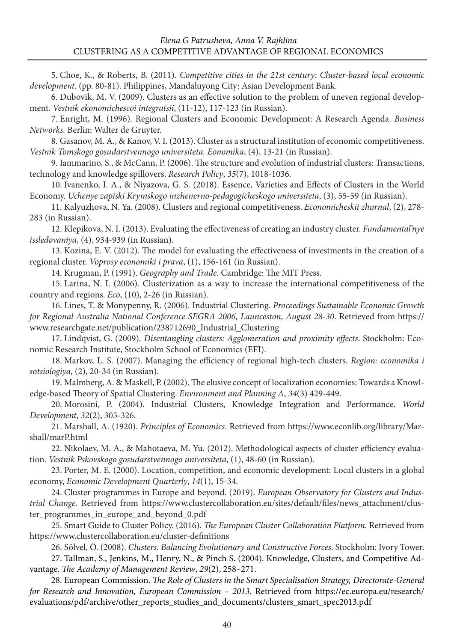5. Choe, K., & Roberts, B. (2011). *Competitive cities in the 21st century: Cluster-based local economic development.* (pp. 80-81). Philippines, Mandaluyong City: Asian Development Bank.

6. Dubovik, M. V. (2009). Clusters as an effective solution to the problem of uneven regional development. *Vestnik ekonomiсhesсoi integratsii*, (11-12), 117-123 (in Russian).

7. Enright, M. (1996). Regional Clusters and Economic Development: A Research Agenda. *Business Networks.* Berlin: Walter de Gruyter.

8. Gasanov, M. A., & Kanov, V. I. (2013). Cluster as a structural institution of economic competitiveness. *Vestnik Tomskogo gosudarstvennogo universiteta. Eonomika*, (4), 13-21 (in Russian).

9. Iammarino, S., & McCann, P. (2006). The structure and evolution of industrial clusters: Transactions, technology and knowledge spillovers. *Research Policy*, *35*(7), 1018-1036.

10. Ivanenko, I. А., & Niyazova, G. S. (2018). Essence, Varieties and Effects of Clusters in the World Economy. *Uchenye zapiski Krymskogo inzhenerno-pedagogicheskogo universiteta*, (3), 55-59 (in Russian).

11. Kalyuzhova, N. Ya. (2008). Clusters and regional competitiveness. *Economicheskii zhurnal*, (2), 278- 283 (in Russian).

12. Кlеpikоvа, N. I. (2013). Evaluating the effectiveness of creating an industry cluster. *Fundamental'nye issledovaniya*, (4), 934-939 (in Russian).

13. Kozina, Е. V. (2012). The model for evaluating the effectiveness of investments in the creation of a regional cluster. *Voprosy economiki i prava*, (1), 156-161 (in Russian).

14. Krugman, P. (1991). *Geography and Trade.* Cambridge: The MIT Press.

15. Larinа, N. I. (2006). Clusterization as a way to increase the international competitiveness of the country and regions. *Eco*, (10), 2-26 (in Russian).

16. Lines, T. & Monypenny, R. (2006). Industrial Clustering. *Proceedings Sustainable Economic Growth for Regional Australia National Conference SEGRA 2006, Launceston, August 28-30*. Retrieved from https:// www.researchgate.net/publication/238712690\_Industrial\_Clustering

17. Lindqvist, G. (2009). *Disentangling clusters: Agglomeration and proximity effects*. Stockholm: Economic Research Institute, Stockholm School of Economics (EFI).

18. Markov, L. S. (2007). Managing the efficiency of regional high-tech clusters. *Region: economika i sotsiologiya*, (2), 20-34 (in Russian).

19. Malmberg, A. & Maskell, P. (2002). The elusive concept of localization economies: Towards a Knowledge-based Theory of Spatial Clustering. *Environment and Planning A*, *34*(3) 429-449.

20. Morosini, P. (2004). Industrial Clusters, Knowledge Integration and Performance. *World Development*, *32*(2), 305-326.

21. Marshall, A. (1920). *Principles of Economics*. Retrieved from [https://www.econlib.org/library/Mar](https://www.econlib.org/library/Marshall/marP.html)[shall/marP.html](https://www.econlib.org/library/Marshall/marP.html)

22. Nikolaev, M. A., & Маhоtаеvа, M. Yu. (2012). Methodological aspects of cluster efficiency evaluation. *Vestnik Pskovskogo gosudarstvennogo universiteta*, (1), 48-60 (in Russian).

23. Porter, M. E. (2000). Location, competition, and economic development: Local clusters in a global economy, *Economic Development Quarterly*, *14*(1), 15-34.

24. Cluster programmes in Europe and beyond. (2019). *European Observatory for Clusters and Industrial Change.* Retrieved from [https://www.clustercollaboration.eu/sites/default/files/news\\_attachment/clus](https://www.clustercollaboration.eu/sites/default/files/news_attachment/cluster_programmes_in_europe_and_beyond_0.pdf)[ter\\_programmes\\_in\\_europe\\_and\\_beyond\\_0.pdf](https://www.clustercollaboration.eu/sites/default/files/news_attachment/cluster_programmes_in_europe_and_beyond_0.pdf)

25. Smart Guide to Cluster Policy. (2016). *The European Cluster Collaboration Platform.* Retrieved from <https://www.clustercollaboration.eu/cluster-definitions>

26. Sölvel, Ö. (2008). *Clusters. Balancing Evolutionary and Constructive Forces*. Stockholm: Ivory Tower.

27. Tallman, S., Jenkins, M., Henry, N., & Pinch S. (2004). Knowledge, Clusters, and Competitive Advantage. *The Academy of Management Review*, *29*(2), 258–271.

28. European Commission. *The Role of Clusters in the Smart Specialisation Strategy, Directorate-General for Research and Innovation, European Commission – 2013.* Retrieved from [https://ec.europa.eu/research/](https://ec.europa.eu/research/evaluations/pdf/archive/other_reports_studies_and_%20documents/clusters_smart_spec2013.pdf) [evaluations/pdf/archive/other\\_reports\\_studies\\_and\\_documents/clusters\\_smart\\_spec2013.pdf](https://ec.europa.eu/research/evaluations/pdf/archive/other_reports_studies_and_%20documents/clusters_smart_spec2013.pdf)